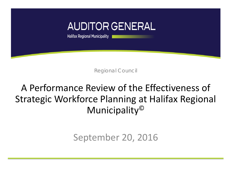

Regional Council

# A Performance Review of the Effectiveness of Strategic Workforce Planning at Halifax Regional Municipality©

## September 20, 2016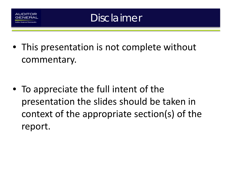

# Disclaimer

• This presentation is not complete without commentary.

• To appreciate the full intent of the presentation the slides should be taken in context of the appropriate section(s) of the report.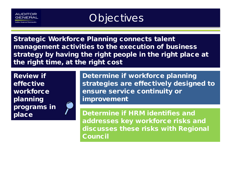

# **Objectives**

Strategic Workforce Planning connects talent management activities to the execution of business strategy by having the right people in the right place at the right time, at the right cost

Review if effective **workforce** planning programs in place



Determine if workforce planning strategies are effectively designed to ensure service continuity or improvement

Determine if HRM identifies and addresses key workforce risks and discusses these risks with Regional Council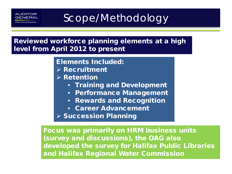# Scope/Methodology

Reviewed workforce planning elements at a high level from April 2012 to present

Elements Included:

- $\triangleright$  Recruitment
- $\triangleright$  Retention
	- Training and Development
	- Performance Management
	- Rewards and Recognition
	- Career Advancement

 $\triangleright$  Succession Planning

Focus was primarily on HRM business units (survey and discussions), the OAG also developed the survey for Halifax Public Libraries and Halifax Regional Water Commission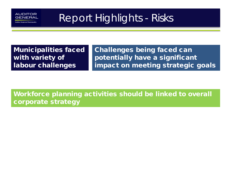

# Report Highlights - Risks

Municipalities faced with variety of labour challenges

Challenges being faced can potentially have a significant impact on meeting strategic goals

Workforce planning activities should be linked to overall corporate strategy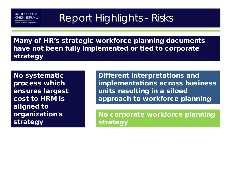AUDITOR **GENER** 

# Report Highlights - Risks

Many of HR's strategic workforce planning documents have not been fully implemented or tied to corporate strategy

No systematic process which ensures largest cost to HRM is aligned to organization's strategy

Different interpretations and implementations across business units resulting in a siloed approach to workforce planning

No corporate workforce planning strategy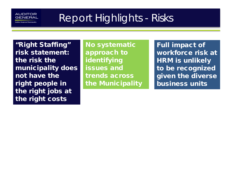#### AUDITOR GENERAL

Report Highlights - Risks

"Right Staffing" risk statement: the risk the municipality does not have the right people in the right jobs at the right costs

No systematic approach to identifying issues and trends across the Municipality Full impact of workforce risk at HRM is unlikely to be recognized given the diverse business units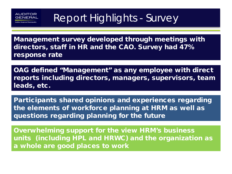

# Report Highlights - Survey

Management survey developed through meetings with directors, staff in HR and the CAO. Survey had 47% response rate

OAG defined "Management" as any employee with direct reports including directors, managers, supervisors, team leads, etc.

Participants shared opinions and experiences regarding the elements of workforce planning at HRM as well as questions regarding planning for the future

Overwhelming support for the view HRM's business units (including HPL and HRWC) and the organization as a whole are good places to work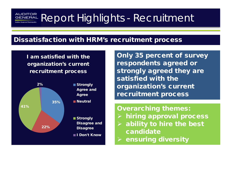#### AUDITOR Report Highlights - Recruitment GENERAL

### Dissatisfaction with HRM's recruitment process

I am satisfied with the organization's current recruitment process



Only 35 percent of survey respondents agreed or strongly agreed they are satisfied with the organization's current recruitment process

#### Overarching themes:

- $\triangleright$  hiring approval process
- $\triangleright$  ability to hire the best candidate
- $\triangleright$  ensuring diversity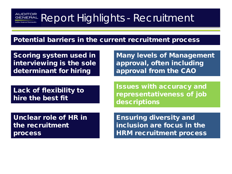# Report Highlights - Recruitment

### Potential barriers in the current recruitment process

Scoring system used in interviewing is the sole determinant for hiring

Lack of flexibility to hire the best fit

Many levels of Management approval, often including approval from the CAO

Issues with accuracy and representativeness of job descriptions

Unclear role of HR in the recruitment process

Ensuring diversity and inclusion are focus in the HRM recruitment process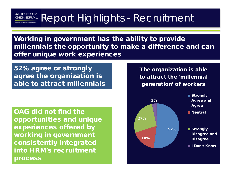#### AUDITOR Report Highlights - Recruitment GENERAL

Working in government has the ability to provide millennials the opportunity to make a difference and can offer unique work experiences

52% agree or strongly agree the organization is able to attract millennials

OAG did not find the opportunities and unique experiences offered by working in government consistently integrated into HRM's recruitment process

The organization is able to attract the 'millennial generation' of workers

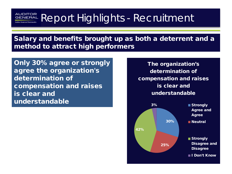#### AUDITOR Report Highlights - Recruitment GENERAL

Salary and benefits brought up as both a deterrent and a method to attract high performers

Only 30% agree or strongly agree the organization's determination of compensation and raises is clear and understandable

The organization's determination of compensation and raises is clear and understandable

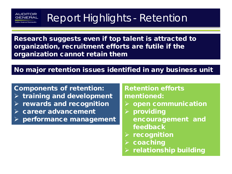# Report Highlights - Retention

Research suggests even if top talent is attracted to organization, recruitment efforts are futile if the organization cannot retain them

## No major retention issues identified in any business unit

Components of retention:  $\triangleright$  training and development  $\triangleright$  rewards and recognition  $\triangleright$  career advancement performance management

AUDITOR

### Retention efforts mentioned:

- $\triangleright$  open communication
- $\rho$  providing encouragement and feedback
- $\triangleright$  recognition
- $\triangleright$  coaching
- relationship building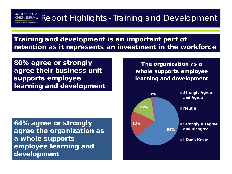## AUDITOR<br>GENERAL Report Highlights - Training and Development

Training and development is an important part of retention as it represents an investment in the workforce

80% agree or strongly agree their business unit supports employee learning and development

64% agree or strongly agree the organization as a whole supports employee learning and development

The organization as a whole supports employee learning and development

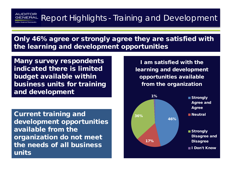## **RUDITOR Report Highlights - Training and Development**

Only 46% agree or strongly agree they are satisfied with the learning and development opportunities

Many survey respondents indicated there is limited budget available within business units for training and development

Current training and development opportunities available from the organization do not meet the needs of all business units

I am satisfied with the learning and development opportunities available from the organization

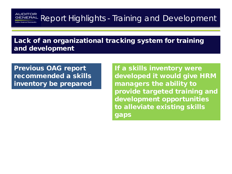**RUDITOR**<br>GENERAL Report Highlights - Training and Development

Lack of an organizational tracking system for training and development

Previous OAG report recommended a skills inventory be prepared

If a skills inventory were developed it would give HRM managers the ability to provide targeted training and development opportunities to alleviate existing skills gaps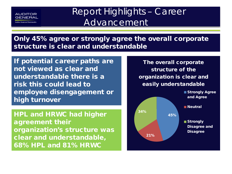

 Report Highlights – Career Advancement

Only 45% agree or strongly agree the overall corporate structure is clear and understandable

If potential career paths are not viewed as clear and understandable there is a risk this could lead to employee disengagement or high turnover

HPL and HRWC had higher agreement their organization's structure was clear and understandable, 68% HPL and 81% HRWC

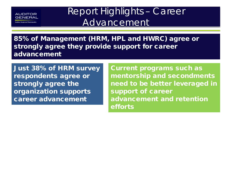

**Max Regional Municipy** 

## Report Highlights – Career Advancement

85% of Management (HRM, HPL and HWRC) agree or strongly agree they provide support for career advancement

Just 38% of HRM survey respondents agree or strongly agree the organization supports career advancement

Current programs such as mentorship and secondments need to be better leveraged in support of career advancement and retention efforts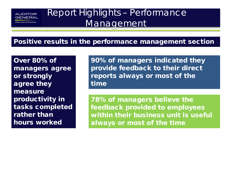

Report Highlights – Performance **Management** 

### Positive results in the performance management section

Over 80% of managers agree or strongly agree they measure productivity in tasks completed rather than hours worked

90% of managers indicated they provide feedback to their direct reports always or most of the time

78% of managers believe the feedback provided to employees within their business unit is useful always or most of the time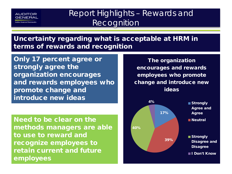

## Report Highlights – Rewards and **Recognition**

Uncertainty regarding what is acceptable at HRM in terms of rewards and recognition

Only 17 percent agree or strongly agree the organization encourages and rewards employees who promote change and introduce new ideas

Need to be clear on the methods managers are able to use to reward and recognize employees to retain current and future employees

The organization encourages and rewards employees who promote change and introduce new ideas

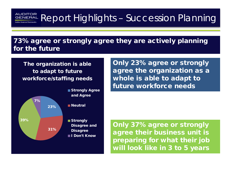# **RUDITOR Report Highlights - Succession Planning**

73% agree or strongly agree they are actively planning for the future

The organization is able to adapt to future workforce/staffing needs



Only 23% agree or strongly agree the organization as a whole is able to adapt to future workforce needs

Only 37% agree or strongly agree their business unit is preparing for what their job will look like in 3 to 5 years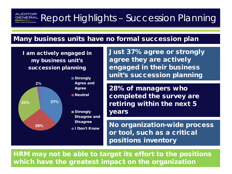# **RUDITOR Report Highlights - Succession Planning**

#### Many business units have no formal succession plan

I am actively engaged in my business unit's succession planning



Just 37% agree or strongly agree they are actively engaged in their business unit's succession planning

28% of managers who completed the survey are retiring within the next 5 years

No organization-wide process or tool, such as a critical positions inventory

HRM may not be able to target its effort to the positions which have the greatest impact on the organization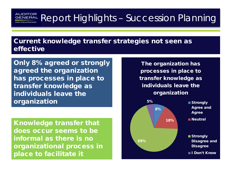# **RUDITOR Report Highlights - Succession Planning**

Current knowledge transfer strategies not seen as effective

Only 8% agreed or strongly agreed the organization has processes in place to transfer knowledge as individuals leave the organization

Knowledge transfer that does occur seems to be informal as there is no organizational process in place to facilitate it

The organization has processes in place to transfer knowledge as individuals leave the organization

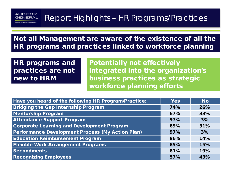## **AUDITOR**<br>GENERAL Report Highlights - HR Programs/Practices

Not all Management are aware of the existence of all the HR programs and practices linked to workforce planning

HR programs and practices are not new to HRM

Potentially not effectively integrated into the organization's business practices as strategic workforce planning efforts

| Have you heard of the following HR Program/Practice:    | <b>Yes</b> | <b>No</b> |
|---------------------------------------------------------|------------|-----------|
| <b>Bridging the Gap Internship Program</b>              | 74%        | 26%       |
| <b>Mentorship Program</b>                               | 67%        | 33%       |
| <b>Attendance Support Program</b>                       | 97%        | 3%        |
| <b>Corporate Learning and Development Program</b>       | 69%        | 31%       |
| <b>Performance Development Process (My Action Plan)</b> | 97%        | 3%        |
| <b>Education Reimbursement Program</b>                  | 86%        | 14%       |
| <b>Flexible Work Arrangement Programs</b>               | 85%        | 15%       |
| <b>Secondments</b>                                      | 81%        | 19%       |
| <b>Recognizing Employees</b>                            | 57%        | 43%       |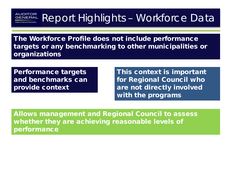# **RUDITOR Report Highlights - Workforce Data**

The Workforce Profile does not include performance targets or any benchmarking to other municipalities or organizations

Performance targets and benchmarks can provide context

This context is important for Regional Council who are not directly involved with the programs

Allows management and Regional Council to assess whether they are achieving reasonable levels of performance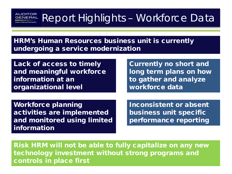# Report Highlights – Workforce Data

HRM's Human Resources business unit is currently undergoing a service modernization

Lack of access to timely and meaningful workforce information at an organizational level

Currently no short and long term plans on how to gather and analyze workforce data

Workforce planning activities are implemented and monitored using limited information

Inconsistent or absent business unit specific performance reporting

Risk HRM will not be able to fully capitalize on any new technology investment without strong programs and controls in place first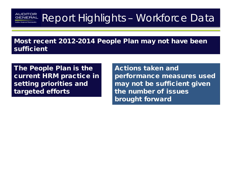# **RUDITOR Report Highlights - Workforce Data**

Most recent 2012-2014 People Plan may not have been sufficient

The People Plan is the current HRM practice in setting priorities and targeted efforts

Actions taken and performance measures used may not be sufficient given the number of issues brought forward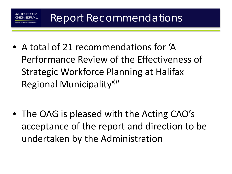• A total of 21 recommendations for 'A Performance Review of the Effectiveness of Strategic Workforce Planning at Halifax Regional Municipality©'

• The OAG is pleased with the Acting CAO's acceptance of the report and direction to be undertaken by the Administration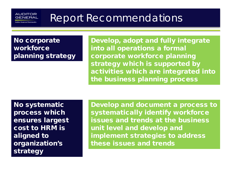## No corporate workforce planning strategy

AUDITOR GENEE

> Develop, adopt and fully integrate into all operations a formal corporate workforce planning strategy which is supported by activities which are integrated into the business planning process

No systematic process which ensures largest cost to HRM is aligned to organization's strategy

Develop and document a process to systematically identify workforce issues and trends at the business unit level and develop and implement strategies to address these issues and trends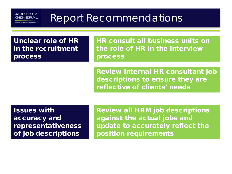Unclear role of HR in the recruitment process

**AUDITOR** GENER

> HR consult all business units on the role of HR in the interview process

Review internal HR consultant job descriptions to ensure they are reflective of clients' needs

Issues with accuracy and representativeness of job descriptions

Review all HRM job descriptions against the actual jobs and update to accurately reflect the position requirements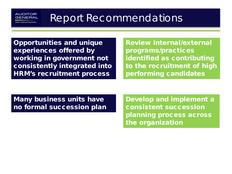Opportunities and unique experiences offered by working in government not consistently integrated into HRM's recruitment process

AUDITOR GENER

> Review internal/external programs/practices identified as contributing to the recruitment of high performing candidates

Many business units have no formal succession plan Develop and implement a consistent succession planning process across the organization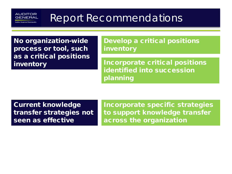No organization-wide process or tool, such as a critical positions inventory

**AUDITOR** GENERA

> Develop a critical positions inventory

Incorporate critical positions identified into succession planning

Current knowledge transfer strategies not seen as effective

Incorporate specific strategies to support knowledge transfer across the organization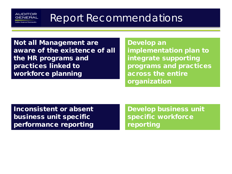Not all Management are aware of the existence of all the HR programs and practices linked to workforce planning

**AUDITOR GENERA** 

> Develop an implementation plan to integrate supporting programs and practices across the entire organization

Inconsistent or absent business unit specific performance reporting

Develop business unit specific workforce reporting